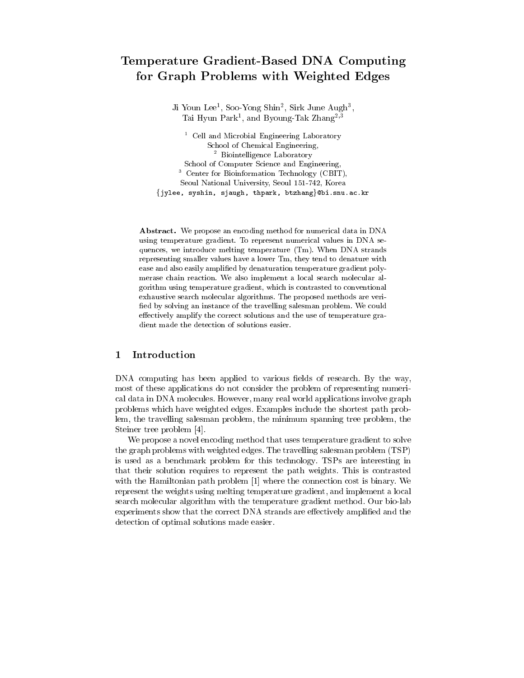# Temperature Gradient-Based DNA Computing for Graph Problems with Weighted Edges

Ji Youn Lee<sup>1</sup>, Soo-Yong Shin<sup>2</sup>, Sirk June Augh<sup>3</sup>, Tai Hyun Park<sup>1</sup>, and Byoung-Tak Zhang<sup>2,3</sup>

 $1$  Cell and Microbial Engineering Laboratory School of Chemical Engineering, <sup>2</sup> Biointelligence Laboratory School of Computer Science and Engineering, <sup>3</sup> Center for Bioinformation Technology (CBIT), Seoul National University, Seoul 151-742, Korea {jylee, syshin, sjaugh, thpark, btzhang}@bi.snu.ac.kr

Abstract. We propose an encoding method for numerical data in DNA using temperature gradient. To represent numerical values in DNA sequences, we introduce melting temperature (Tm). When DNA strands representing smaller values have a lower Tm, they tend to denature with ease and also easily amplified by denaturation temperature gradient polymerase chain reaction. We also implement a local search molecular algorithm using temperature gradient, which is contrasted to conventional exhaustive search molecular algorithms. The proposed methods are verified by solving an instance of the travelling salesman problem. We could effectively amplify the correct solutions and the use of temperature gradient made the detection of solutions easier.

# Introduction 1

DNA computing has been applied to various fields of research. By the way, most of these applications do not consider the problem of representing numerical data in DNA molecules. However, many real world applications involve graph problems which have weighted edges. Examples include the shortest path problem, the travelling salesman problem, the minimum spanning tree problem, the Steiner tree problem [4].

We propose a novel encoding method that uses temperature gradient to solve the graph problems with weighted edges. The travelling salesman problem (TSP) is used as a benchmark problem for this technology. TSPs are interesting in that their solution requires to represent the path weights. This is contrasted with the Hamiltonian path problem  $[1]$  where the connection cost is binary. We represent the weights using melting temperature gradient, and implement a local search molecular algorithm with the temperature gradient method. Our bio-lab experiments show that the correct DNA strands are effectively amplified and the detection of optimal solutions made easier.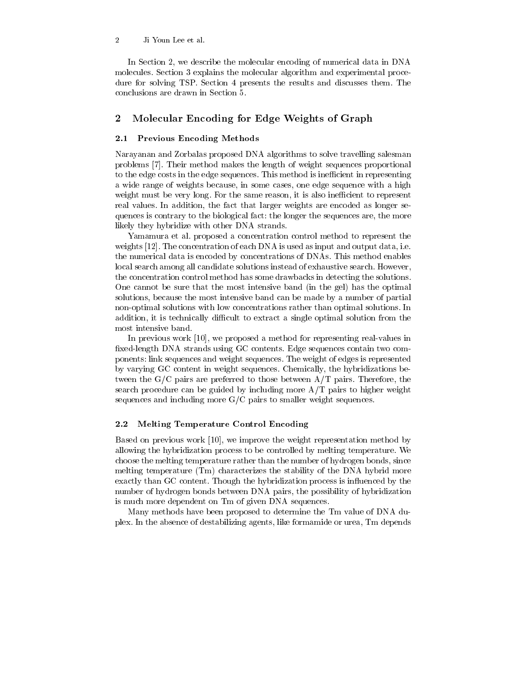#### $\overline{2}$ Ji Youn Lee et al.

In Section 2, we describe the molecular encoding of numerical data in DNA molecules. Section 3 explains the molecular algorithm and experimental procedure for solving TSP. Section 4 presents the results and discusses them. The conclusions are drawn in Section 5.

# $\boldsymbol{2}$ Molecular Encoding for Edge Weights of Graph

#### **Previous Encoding Methods**  $2.1$

Narayanan and Zorbalas proposed DNA algorithms to solve travelling salesman problems [7]. Their method makes the length of weight sequences proportional to the edge costs in the edge sequences. This method is inefficient in representing a wide range of weights because, in some cases, one edge sequence with a high weight must be very long. For the same reason, it is also inefficient to represent real values. In addition, the fact that larger weights are encoded as longer sequences is contrary to the biological fact: the longer the sequences are, the more likely they hybridize with other DNA strands.

Yamamura et al. proposed a concentration control method to represent the weights [12]. The concentration of each DNA is used as input and output data, i.e. the numerical data is encoded by concentrations of DNAs. This method enables local search among all candidate solutions instead of exhaustive search. However, the concentration control method has some drawbacks in detecting the solutions. One cannot be sure that the most intensive band (in the gel) has the optimal solutions, because the most intensive band can be made by a number of partial non-optimal solutions with low concentrations rather than optimal solutions. In addition, it is technically difficult to extract a single optimal solution from the most intensive band.

In previous work [10], we proposed a method for representing real-values in fixed-length DNA strands using GC contents. Edge sequences contain two components: link sequences and weight sequences. The weight of edges is represented by varying GC content in weight sequences. Chemically, the hybridizations between the G/C pairs are preferred to those between  $A/T$  pairs. Therefore, the search procedure can be guided by including more  $A/T$  pairs to higher weight sequences and including more  $G/C$  pairs to smaller weight sequences.

### $2.2$ **Melting Temperature Control Encoding**

Based on previous work [10], we improve the weight representation method by allowing the hybridization process to be controlled by melting temperature. We choose the melting temperature rather than the number of hydrogen bonds, since melting temperature (Tm) characterizes the stability of the DNA hybrid more exactly than GC content. Though the hybridization process is influenced by the number of hydrogen bonds between DNA pairs, the possibility of hybridization is much more dependent on Tm of given DNA sequences.

Many methods have been proposed to determine the Tm value of DNA duplex. In the absence of destabilizing agents, like formamide or urea, Tm depends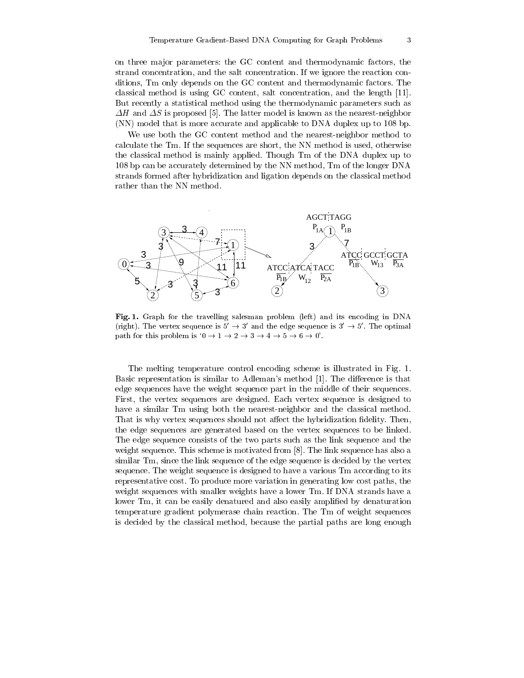on three major parameters: the GC content and thermodynamic factors, the strand concentration, and the salt concentration. If we ignore the reaction conditions, Tm only depends on the GC content and thermodynamic factors. The classical method is using GC content, salt concentration, and the length [11]. But recently a statistical method using the thermodynamic parameters such as  $\Delta H$  and  $\Delta S$  is proposed [5]. The latter model is known as the nearest-neighbor (NN) model that is more accurate and applicable to DNA duplex up to 108 bp.

We use both the GC content method and the nearest-neighbor method to calculate the Tm. If the sequences are short, the NN method is used, otherwise the classical method is mainly applied. Though Tm of the DNA duplex up to 108 bp can be accurately determined by the NN method, Tm of the longer DNA strands formed after hybridization and ligation depends on the classical method rather than the NN method.



Fig. 1. Graph for the travelling salesman problem (left) and its encoding in DNA (right). The vertex sequence is  $5' \rightarrow 3'$  and the edge sequence is  $3' \rightarrow 5'$ . The optimal path for this problem is ' $0 \rightarrow 1 \rightarrow 2 \rightarrow 3 \rightarrow 4 \rightarrow 5 \rightarrow 6 \rightarrow 0'$ '.

The melting temperature control encoding scheme is illustrated in Fig. 1. Basic representation is similar to Adleman's method [1]. The difference is that edge sequences have the weight sequence part in the middle of their sequences. First, the vertex sequences are designed. Each vertex sequence is designed to have a similar Tm using both the nearest-neighbor and the classical method. That is why vertex sequences should not affect the hybridization fidelity. Then, the edge sequences are generated based on the vertex sequences to be linked. The edge sequence consists of the two parts such as the link sequence and the weight sequence. This scheme is motivated from [8]. The link sequence has also a similar Tm, since the link sequence of the edge sequence is decided by the vertex sequence. The weight sequence is designed to have a various Tm according to its representative cost. To produce more variation in generating low cost paths, the weight sequences with smaller weights have a lower Tm. If DNA strands have a lower Tm, it can be easily denatured and also easily amplified by denaturation temperature gradient polymerase chain reaction. The Tm of weight sequences is decided by the classical method, because the partial paths are long enough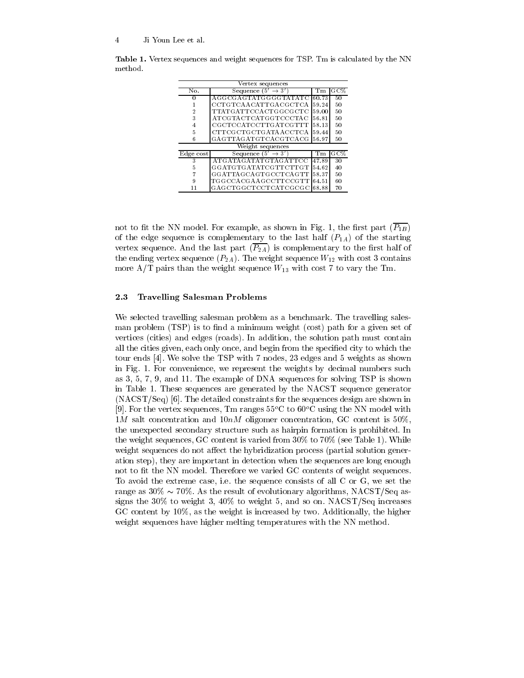| Vertex sequences |                                 |       |     |
|------------------|---------------------------------|-------|-----|
| No.              | Sequence (5'<br>$\rightarrow$ 3 | Тm    | GC% |
| 0                | AGGCGAGTATGGGGTATATC            | 60.73 | 50  |
|                  | CCTGTCAACATTGACGCTCA            | 59.24 | 50  |
| 2                | TTATG ATTCCACTGGCGCTC           | 59.00 | 50  |
| 3                | ATCGTACTCATGGTCCCTAC            | 56.81 | 50  |
| 4                | CGCTCCATCCTTGATCGTTT            | 58.13 | 50  |
| 5                | CTTCGCTGCTG ATA ACCTCA          | 59.44 | 50  |
| 6                | GAGTTAGATGTCACGTCACG            | 56.97 | 50  |
| Weight sequences |                                 |       |     |
| Edge cost        | Sequence $(5' \rightarrow 3')$  | Тm    | GC% |
| 3                | ATG ATAG ATATG TAG AT TCC       | 47.89 | 30  |
| 5                | GG ATGTG ATATCG TTCTTGT         | 54.62 | 40  |
|                  | GGATTAGCAGTGCCTCAGTT            | 58.37 | 50  |
| 9                | TGGCCACGAAGCCTTCCGTT            | 64.51 | 60  |
| 11               | GAGCTGGCTCCTCATCGCGC            | 68.88 | 70  |

Table 1. Vertex sequences and weight sequences for TSP. Tm is calculated by the NN method.

not to fit the NN model. For example, as shown in Fig. 1, the first part  $(\overline{P_{1B}})$ of the edge sequence is complementary to the last half  $(P_{1A})$  of the starting vertex sequence. And the last part  $(\overline{P_{2A}})$  is complementary to the first half of the ending vertex sequence  $(P_{2A})$ . The weight sequence  $W_{12}$  with cost 3 contains more A/T pairs than the weight sequence  $W_{13}$  with cost 7 to vary the Tm.

#### 2.3 **Travelling Salesman Problems**

We selected travelling salesman problem as a benchmark. The travelling salesman problem (TSP) is to find a minimum weight (cost) path for a given set of vertices (cities) and edges (roads). In addition, the solution path must contain all the cities given, each only once, and begin from the specified city to which the tour ends [4]. We solve the TSP with 7 nodes, 23 edges and 5 weights as shown in Fig. 1. For convenience, we represent the weights by decimal numbers such as  $3, 5, 7, 9$ , and 11. The example of DNA sequences for solving TSP is shown in Table 1. These sequences are generated by the NACST sequence generator  $(NACST/Seq)$  [6]. The detailed constraints for the sequences design are shown in [9]. For the vertex sequences, Tm ranges  $55^{\circ}$ C to  $60^{\circ}$ C using the NN model with 1M salt concentration and 10nM oligomer concentration, GC content is  $50\%$ , the unexpected secondary structure such as hairpin formation is prohibited. In the weight sequences, GC content is varied from  $30\%$  to  $70\%$  (see Table 1). While weight sequences do not affect the hybridization process (partial solution generation step), they are important in detection when the sequences are long enough not to fit the NN model. Therefore we varied GC contents of weight sequences. To avoid the extreme case, i.e. the sequence consists of all C or G, we set the range as  $30\% \sim 70\%$ . As the result of evolutionary algorithms, NACST/Seq assigns the 30% to weight 3, 40% to weight 5, and so on.  $NACST/Seq$  increases  $GC$  content by  $10\%$ , as the weight is increased by two. Additionally, the higher weight sequences have higher melting temperatures with the NN method.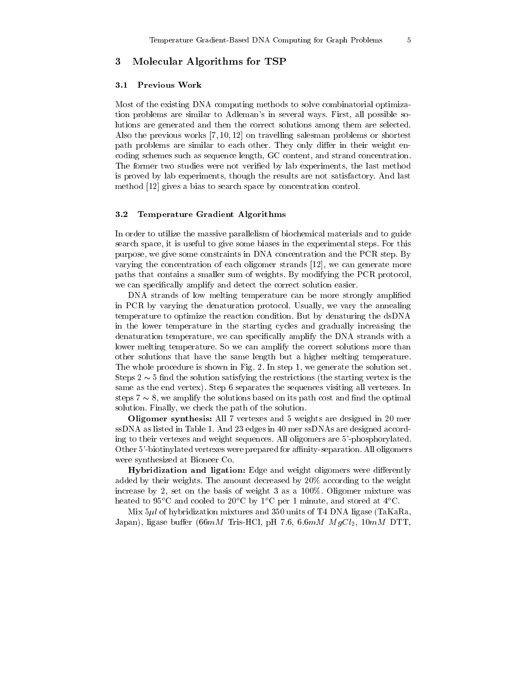## 3 Molecular Algorithms for TSP

#### **Previous Work**  $\bf 3.1$

Most of the existing DNA computing methods to solve combinatorial optimization problems are similar to Adleman's in several ways. First, all possible solutions are generated and then the correct solutions among them are selected. Also the previous works  $[7,10,12]$  on travelling salesman problems or shortest path problems are similar to each other. They only differ in their weight encoding schemes such as sequence length, GC content, and strand concentration. The former two studies were not verified by lab experiments, the last method is proved by lab experiments, though the results are not satisfactory. And last method [12] gives a bias to search space by concentration control.

#### $3.2$ **Temperature Gradient Algorithms**

In order to utilize the massive parallelism of biochemical materials and to guide search space, it is useful to give some biases in the experimental steps. For this purpose, we give some constraints in DNA concentration and the PCR step. By varying the concentration of each oligomer strands [12], we can generate more paths that contains a smaller sum of weights. By modifying the PCR protocol, we can specifically amplify and detect the correct solution easier.

DNA strands of low melting temperature can be more strongly amplified in PCR by varying the denaturation protocol. Usually, we vary the annealing temperature to optimize the reaction condition. But by denaturing the dsDNA in the lower temperature in the starting cycles and gradually increasing the denaturation temperature, we can specifically amplify the DNA strands with a lower melting temperature. So we can amplify the correct solutions more than other solutions that have the same length but a higher melting temperature. The whole procedure is shown in Fig. 2. In step 1, we generate the solution set. Steps  $2 \sim 5$  find the solution satisfying the restrictions (the starting vertex is the same as the end vertex). Step 6 separates the sequences visiting all vertexes. In steps  $7 \sim 8$ , we amplify the solutions based on its path cost and find the optimal solution. Finally, we check the path of the solution.

Oligomer synthesis: All 7 vertexes and 5 weights are designed in 20 mer ssDNA as listed in Table 1. And 23 edges in 40 mer ssDNAs are designed according to their vertexes and weight sequences. All oligomers are 5'-phosphorylated. Other 5'-biotinvlated vertexes were prepared for affinity-separation. All oligomers were synthesized at Bioneer Co.

Hybridization and ligation: Edge and weight oligomers were differently added by their weights. The amount decreased by 20% according to the weight increase by 2, set on the basis of weight 3 as a  $100\%$ . Oligomer mixture was heated to 95<sup>o</sup>C and cooled to 20<sup>o</sup>C by 1<sup>o</sup>C per 1 minute, and stored at 4<sup>o</sup>C.

Mix  $5\mu l$  of hybridization mixtures and 350 units of T4 DNA ligase (TaKaRa. Japan), ligase buffer (66mM Tris-HCl, pH 7.6, 6.6mM  $MgCl_2$ , 10mM DTT,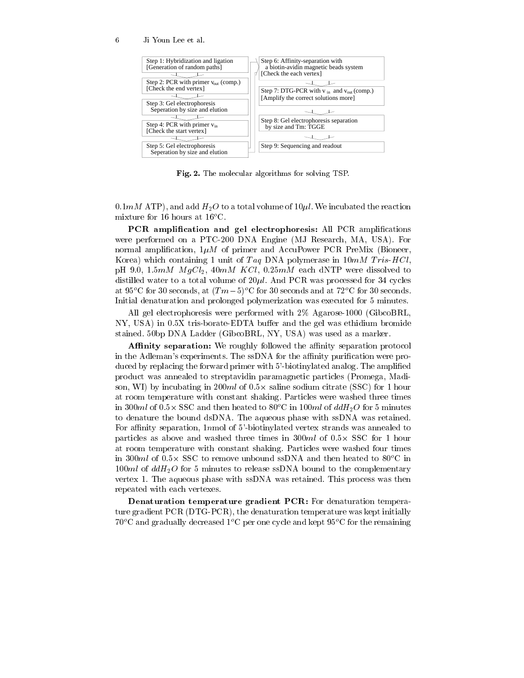Ji Youn Lee et al.



Fig. 2. The molecular algorithms for solving TSP.

 $0.1 \, mM$  ATP), and add  $H_2O$  to a total volume of  $10 \mu l$ . We incubated the reaction mixture for 16 hours at  $16^{\circ}$ C.

PCR amplification and gel electrophoresis: All PCR amplifications were performed on a PTC-200 DNA Engine (MJ Research, MA, USA). For normal amplification,  $1\mu M$  of primer and AccuPower PCR PreMix (Bioneer, Korea) which containing 1 unit of Taq DNA polymerase in  $10mM$  Tris-HCl, pH 9.0, 1.5mM  $MgCl_2$ , 40mM  $KCl$ , 0.25mM each dNTP were dissolved to distilled water to a total volume of  $20\mu l$ . And PCR was processed for 34 cycles at 95°C for 30 seconds, at  $(Tm-5)$ °C for 30 seconds and at 72°C for 30 seconds. Initial denaturation and prolonged polymerization was executed for 5 minutes.

All gel electrophoresis were performed with 2% Agarose-1000 (GibcoBRL. NY, USA) in 0.5X tris-borate-EDTA buffer and the gel was ethidium bromide stained. 50bp DNA Ladder (GibcoBRL, NY, USA) was used as a marker.

**Affinity separation:** We roughly followed the affinity separation protocol in the Adleman's experiments. The ssDNA for the affinity purification were produced by replacing the forward primer with 5'-biotinylated analog. The amplified product was annealed to streptavidin paramagnetic particles (Promega, Madison, WI) by incubating in 200ml of  $0.5 \times$  saline sodium citrate (SSC) for 1 hour at room temperature with constant shaking. Particles were washed three times in 300ml of  $0.5 \times$  SSC and then heated to 80<sup>o</sup>C in 100ml of  $ddH_2O$  for 5 minutes to denature the bound dsDNA. The aqueous phase with ssDNA was retained. For affinity separation,  $1n$ mol of 5'-biotinylated vertex strands was annealed to particles as above and washed three times in  $300ml$  of  $0.5 \times$  SSC for 1 hour at room temperature with constant shaking. Particles were washed four times in 300ml of  $0.5 \times$  SSC to remove unbound ssDNA and then heated to 80<sup>o</sup>C in  $100ml$  of  $ddH_2O$  for 5 minutes to release ssDNA bound to the complementary vertex 1. The aqueous phase with ssDNA was retained. This process was then repeated with each vertexes.

**Denaturation temperature gradient PCR:** For denaturation temperature gradient PCR (DTG-PCR), the denaturation temperature was kept initially  $70^{\circ}$ C and gradually decreased  $1^{\circ}$ C per one cycle and kept 95<sup>°</sup>C for the remaining

6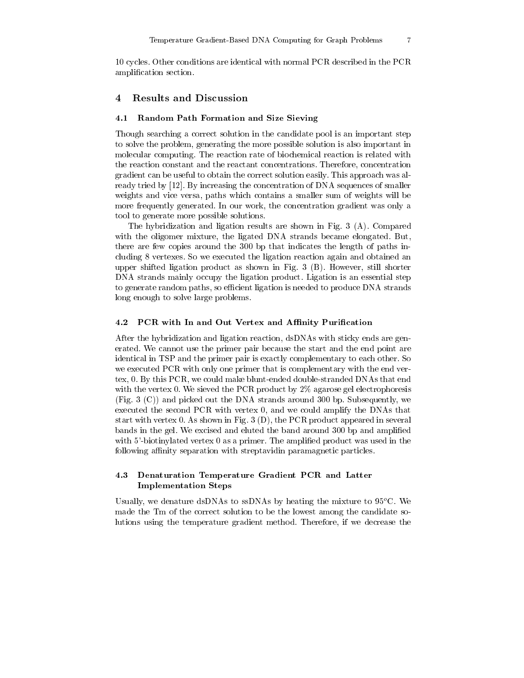10 cycles. Other conditions are identical with normal PCR described in the PCR amplification section.

# **Results and Discussion**  $\overline{4}$

#### 4.1 Random Path Formation and Size Sieving

Though searching a correct solution in the candidate pool is an important step to solve the problem, generating the more possible solution is also important in molecular computing. The reaction rate of biochemical reaction is related with the reaction constant and the reactant concentrations. Therefore, concentration gradient can be useful to obtain the correct solution easily. This approach was already tried by [12]. By increasing the concentration of DNA sequences of smaller weights and vice versa, paths which contains a smaller sum of weights will be more frequently generated. In our work, the concentration gradient was only a tool to generate more possible solutions.

The hybridization and ligation results are shown in Fig. 3 (A). Compared with the oligomer mixture, the ligated DNA strands became elongated. But, there are few copies around the 300 bp that indicates the length of paths including 8 vertexes. So we executed the ligation reaction again and obtained an upper shifted ligation product as shown in Fig. 3 (B). However, still shorter DNA strands mainly occupy the ligation product. Ligation is an essential step to generate random paths, so efficient ligation is needed to produce DNA strands long enough to solve large problems.

#### 4.2 PCR with In and Out Vertex and Affinity Purification

After the hybridization and ligation reaction, dsDNAs with sticky ends are generated. We cannot use the primer pair because the start and the end point are identical in TSP and the primer pair is exactly complementary to each other. So we executed PCR with only one primer that is complementary with the end vertex, 0. By this PCR, we could make blunt-ended double-stranded DNAs that end with the vertex 0. We sieved the PCR product by  $2\%$  agarose gel electrophoresis (Fig. 3 (C)) and picked out the DNA strands around 300 bp. Subsequently, we executed the second PCR with vertex 0, and we could amplify the DNAs that start with vertex 0. As shown in Fig. 3  $(D)$ , the PCR product appeared in several bands in the gel. We excised and eluted the band around 300 bp and amplified with 5'-biotinylated vertex 0 as a primer. The amplified product was used in the following affinity separation with streptavidin paramagnetic particles.

# 4.3 Denaturation Temperature Gradient PCR and Latter **Implementation Steps**

Usually, we denature dsDNAs to ssDNAs by heating the mixture to  $95^{\circ}$ C. We made the Tm of the correct solution to be the lowest among the candidate solutions using the temperature gradient method. Therefore, if we decrease the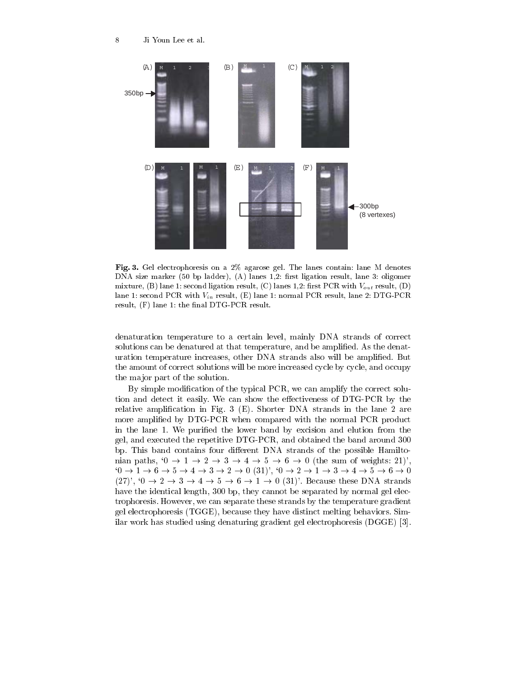

Fig. 3. Gel electrophoresis on a 2% agarose gel. The lanes contain: lane M denotes DNA size marker (50 bp ladder), (A) lanes  $1,2$ : first ligation result, lane 3: oligomer mixture, (B) lane 1: second ligation result, (C) lanes 1,2: first PCR with  $V_{out}$  result, (D) lane 1: second PCR with  $V_{in}$  result, (E) lane 1: normal PCR result, lane 2: DTG-PCR result, (F) lane 1: the final DTG-PCR result.

denaturation temperature to a certain level, mainly DNA strands of correct solutions can be denatured at that temperature, and be amplified. As the denaturation temperature increases, other DNA strands also will be amplified. But the amount of correct solutions will be more increased cycle by cycle, and occupy the major part of the solution.

By simple modification of the typical PCR, we can amplify the correct solution and detect it easily. We can show the effectiveness of DTG-PCR by the relative amplification in Fig. 3 (E). Shorter DNA strands in the lane 2 are more amplified by DTG-PCR when compared with the normal PCR product in the lane 1. We purified the lower band by excision and elution from the gel, and executed the repetitive DTG-PCR, and obtained the band around 300 bp. This band contains four different DNA strands of the possible Hamiltonian paths,  $0 \rightarrow 1 \rightarrow 2 \rightarrow 3 \rightarrow 4 \rightarrow 5 \rightarrow 6 \rightarrow 0$  (the sum of weights: 21)'.  $0 \to 1 \to 6 \to 5 \to 4 \to 3 \to 2 \to 0$  (31)',  $0 \to 2 \to 1 \to 3 \to 4 \to 5 \to 6 \to 0$  $(27)$ ,  $(0 \rightarrow 2 \rightarrow 3 \rightarrow 4 \rightarrow 5 \rightarrow 6 \rightarrow 1 \rightarrow 0$   $(31)$ . Because these DNA strands have the identical length, 300 bp, they cannot be separated by normal gel electrophoresis. However, we can separate these strands by the temperature gradient gel electrophoresis (TGGE), because they have distinct melting behaviors. Similar work has studied using denaturing gradient gel electrophoresis (DGGE) [3].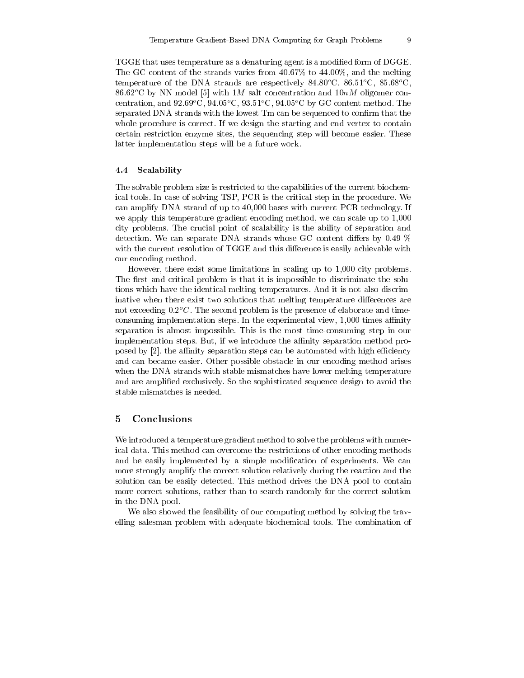TGGE that uses temperature as a denaturing agent is a modified form of DGGE. The GC content of the strands varies from 40.67% to 44.00%, and the melting temperature of the DNA strands are respectively 84.80 $^{\circ}$ C, 86.51 $^{\circ}$ C, 85.68 $^{\circ}$ C, 86.62 $^{\circ}$ C by NN model [5] with 1M salt concentration and 10nM oligomer concentration, and  $92.69^{\circ}$ C,  $94.05^{\circ}$ C,  $93.51^{\circ}$ C,  $94.05^{\circ}$ C by GC content method. The separated DNA strands with the lowest Tm can be sequenced to confirm that the whole procedure is correct. If we design the starting and end vertex to contain certain restriction enzyme sites, the sequencing step will become easier. These latter implementation steps will be a future work.

#### 4.4 Scalability

The solvable problem size is restricted to the capabilities of the current biochemical tools. In case of solving TSP, PCR is the critical step in the procedure. We can amplify DNA strand of up to 40,000 bases with current PCR technology. If we apply this temperature gradient encoding method, we can scale up to 1,000 city problems. The crucial point of scalability is the ability of separation and detection. We can separate DNA strands whose GC content differs by 0.49  $\%$ with the current resolution of TGGE and this difference is easily achievable with our encoding method.

However, there exist some limitations in scaling up to 1,000 city problems. The first and critical problem is that it is impossible to discriminate the solutions which have the identical melting temperatures. And it is not also discriminative when there exist two solutions that melting temperature differences are not exceeding  $0.2^{\circ}$ . The second problem is the presence of elaborate and timeconsuming implementation steps. In the experimental view, 1,000 times affinity separation is almost impossible. This is the most time-consuming step in our implementation steps. But, if we introduce the affinity separation method proposed by [2], the affinity separation steps can be automated with high efficiency and can became easier. Other possible obstacle in our encoding method arises when the DNA strands with stable mismatches have lower melting temperature and are amplified exclusively. So the sophisticated sequence design to avoid the stable mismatches is needed.

### $\mathbf 5$ Conclusions

We introduced a temperature gradient method to solve the problems with numerical data. This method can overcome the restrictions of other encoding methods and be easily implemented by a simple modification of experiments. We can more strongly amplify the correct solution relatively during the reaction and the solution can be easily detected. This method drives the DNA pool to contain more correct solutions, rather than to search randomly for the correct solution in the DNA pool.

We also showed the feasibility of our computing method by solving the travelling salesman problem with adequate biochemical tools. The combination of